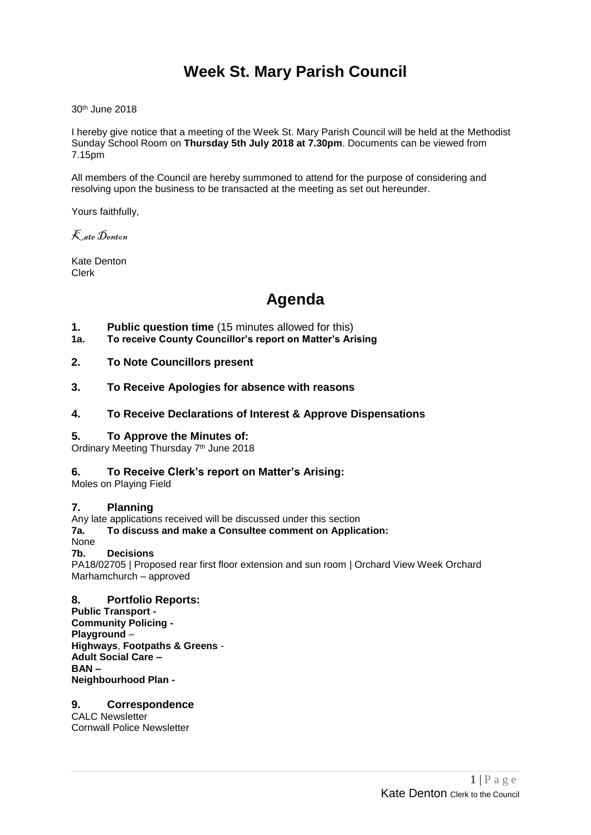## **Week St. Mary Parish Council**

30 th June 2018

I hereby give notice that a meeting of the Week St. Mary Parish Council will be held at the Methodist Sunday School Room on **Thursday 5th July 2018 at 7.30pm**. Documents can be viewed from 7.15pm

All members of the Council are hereby summoned to attend for the purpose of considering and resolving upon the business to be transacted at the meeting as set out hereunder.

Yours faithfully,

Kate Denton

Kate Denton Clerk

# **Agenda**

- **1. Public question time** (15 minutes allowed for this)
- **1a. To receive County Councillor's report on Matter's Arising**
- **2. To Note Councillors present**
- **3. To Receive Apologies for absence with reasons**

#### **4. To Receive Declarations of Interest & Approve Dispensations**

#### **5. To Approve the Minutes of:**

Ordinary Meeting Thursday 7<sup>th</sup> June 2018

#### **6. To Receive Clerk's report on Matter's Arising:**

Moles on Playing Field

#### **7. Planning**

Any late applications received will be discussed under this section

#### **7a. To discuss and make a Consultee comment on Application:**

None

#### **7b. Decisions**

PA18/02705 | Proposed rear first floor extension and sun room | Orchard View Week Orchard Marhamchurch – approved

### **8. Portfolio Reports:**

**Public Transport - Community Policing - Playground** – **Highways**, **Footpaths & Greens** - **Adult Social Care – BAN – Neighbourhood Plan -**

### **9. Correspondence**

CALC Newsletter Cornwall Police Newsletter